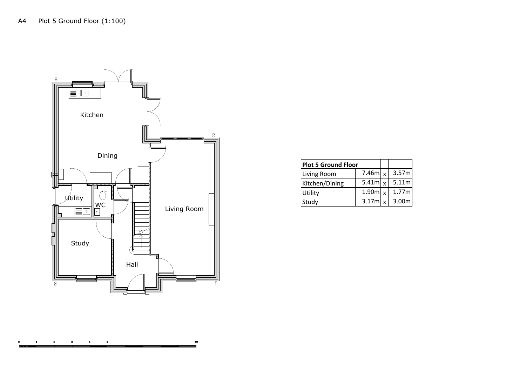

| <b>Plot 5 Ground Floor</b> |                       |                   |
|----------------------------|-----------------------|-------------------|
| Living Room                | 7.46m $\vert x \vert$ | 3.57 <sub>m</sub> |
| Kitchen/Dining             | 5.41m $\vert x \vert$ | 5.11 <sub>m</sub> |
| Utility                    | 1.90m $\vert x \vert$ | 1.77m             |
| Study                      | 3.17m $\vert x \vert$ | 3.00 <sub>m</sub> |

---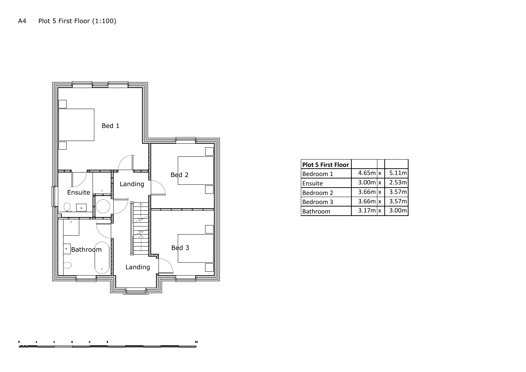

|  | <b>Plot 5 First Floor</b> |                         |                   |
|--|---------------------------|-------------------------|-------------------|
|  | Bedroom 1                 | $4.65m$ $x$             | 5.11 <sub>m</sub> |
|  | Ensuite                   | $3.00m$ $x$             | 2.53ml            |
|  | Bedroom 2                 | $3.66m$ $x$             | 3.57ml            |
|  | Bedroom 3                 | $3.66m$ $x$             | 3.57ml            |
|  | <b>Bathroom</b>           | $3.17$ m $\overline{x}$ | 3.00 <sub>m</sub> |

--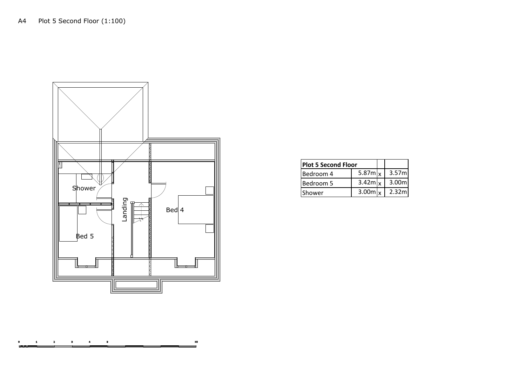

|        | <b>Plot 5 Second Floor</b> |                       |                   |
|--------|----------------------------|-----------------------|-------------------|
|        | Bedroom 4                  | 5.87m $\vert x \vert$ | 3.57ml            |
|        | Bedroom 5                  | $3.42m$ <sub>x</sub>  | 3.00 <sub>m</sub> |
| Shower |                            | 3.00 $m_x$            | 2.32ml            |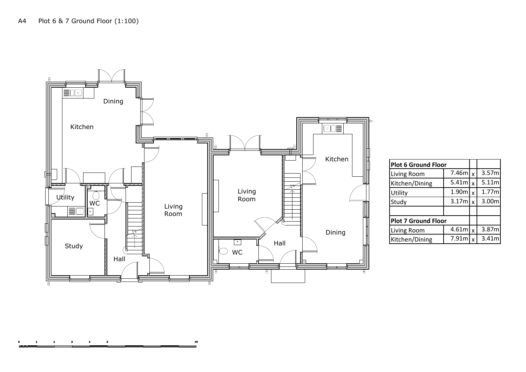

| Kitchen |                            |                       |              |       |
|---------|----------------------------|-----------------------|--------------|-------|
|         | <b>Plot 6 Ground Floor</b> |                       |              |       |
|         | Living Room                | 7.46m                 | $\mathbf{x}$ | 3.57m |
|         | Kitchen/Dining             | 5.41 <sub>m</sub>     | $\mathbf{x}$ | 5.11m |
|         | Utility                    | 1.90m                 | $\mathbf{x}$ | 1.77m |
|         | Study                      | 3.17m                 | $\mathbf{x}$ | 3.00m |
|         |                            |                       |              |       |
|         | <b>Plot 7 Ground Floor</b> |                       |              |       |
| Dining  | Living Room                | 4.61m $\vert x \vert$ |              | 3.87m |
|         | Kitchen/Dining             | 7.91m                 | $\mathbf{x}$ | 3.41m |
|         |                            |                       |              |       |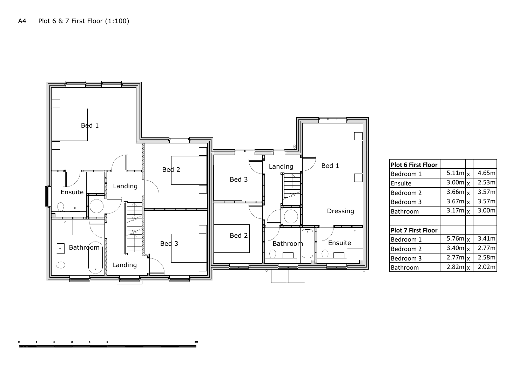

| Bed 1               | <b>Plot 6 First Floor</b> |                       |          |                   |
|---------------------|---------------------------|-----------------------|----------|-------------------|
|                     | Bedroom 1                 | $5.11m$ <sub>x</sub>  |          | 4.65m             |
|                     | Ensuite                   | $3.00m$ <sub>x</sub>  |          | 2.53 <sub>m</sub> |
|                     | Bedroom 2                 | 3.66m                 | <b>x</b> | 3.57m             |
|                     | Bedroom 3                 | $3.67m$ <sub>x</sub>  |          | 3.57m             |
| Dressing            | Bathroom                  | $3.17m$ <sub>x</sub>  |          | 3.00m             |
|                     |                           |                       |          |                   |
| $\ddot{\mathbf{a}}$ | <b>Plot 7 First Floor</b> |                       |          |                   |
| Ensuite             | Bedroom 1                 | 5.76 $m$ <sub>x</sub> |          | 3.41m             |
|                     | Bedroom 2                 | $3.40m$ <sub>x</sub>  |          | 2.77m             |
|                     | Bedroom 3                 | $2.77m$ <sub>x</sub>  |          | 2.58m             |
|                     | Bathroom                  | $2.82m$ <sub>x</sub>  |          | 2.02m             |